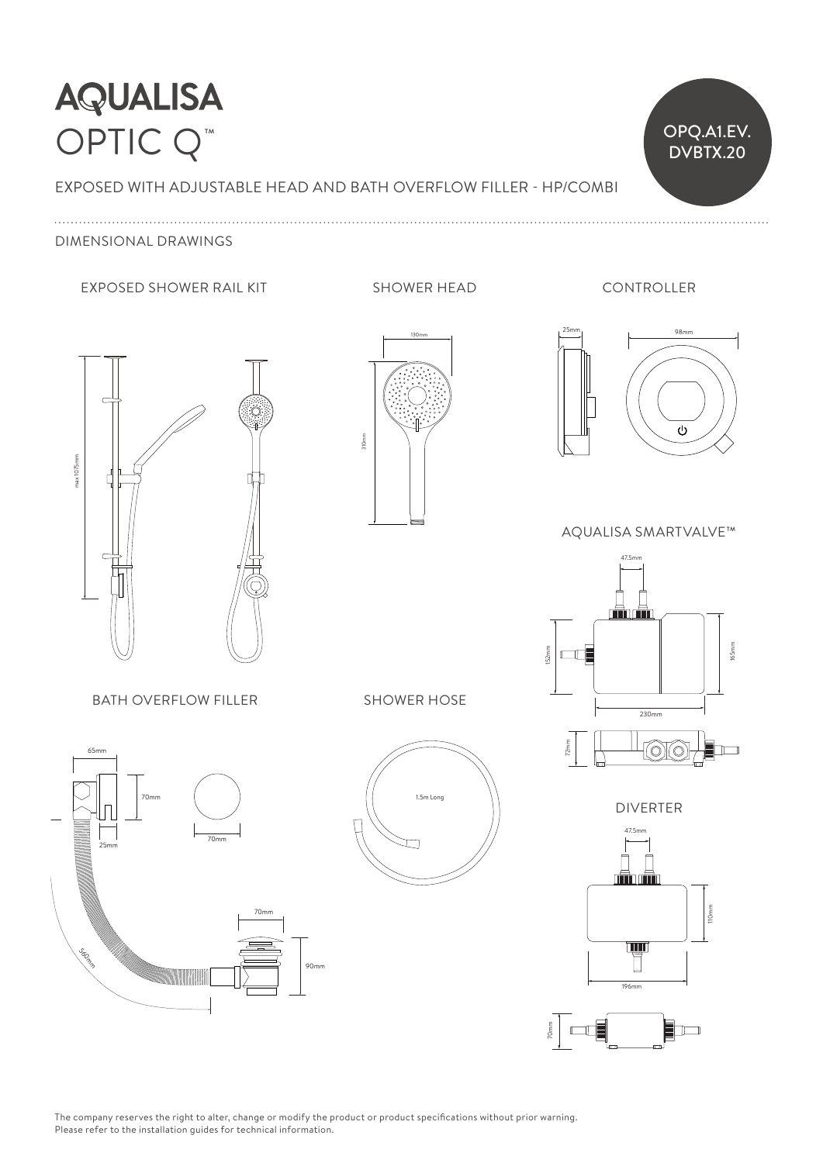## **AQUALISA** OPTIC Q<sup>™</sup>

EXPOSED WITH ADJUSTABLE HEAD AND BATH OVERFLOW FILLER - HP/COMBI

## DIMENSIONAL DRAWINGS

#### EXPOSED SHOWER RAIL KIT SHOWER HEAD

130mm

CONTROLLER

 $\overline{O}$  OPQ.A1.EV.

DVBTX.20



47.5mm  $130$ 310mm

25mm 98mm  $\sim$ Ď  $\overline{\phantom{0}}$ 

AQUALISA SMARTVALVE™



**DIVERTER** 





 $\overline{a}$ 70mm 70mm 25mm 70mm 65mm Socio 560mm

**BATH OVERFLOW FILLER** 



SHOWER HOSE

90mm

 $\lceil$